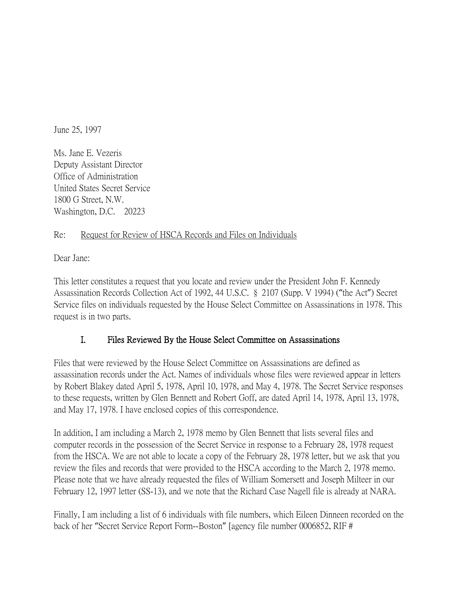June 25, 1997

Ms. Jane E. Vezeris Deputy Assistant Director Office of Administration United States Secret Service 1800 G Street, N.W. Washington, D.C. 20223

## Re: Request for Review of HSCA Records and Files on Individuals

Dear Jane:

This letter constitutes a request that you locate and review under the President John F. Kennedy Assassination Records Collection Act of 1992, 44 U.S.C. § 2107 (Supp. V 1994) ("the Act") Secret Service files on individuals requested by the House Select Committee on Assassinations in 1978. This request is in two parts.

## I. Files Reviewed By the House Select Committee on Assassinations

Files that were reviewed by the House Select Committee on Assassinations are defined as assassination records under the Act. Names of individuals whose files were reviewed appear in letters by Robert Blakey dated April 5, 1978, April 10, 1978, and May 4, 1978. The Secret Service responses to these requests, written by Glen Bennett and Robert Goff, are dated April 14, 1978, April 13, 1978, and May 17, 1978. I have enclosed copies of this correspondence.

In addition, I am including a March 2, 1978 memo by Glen Bennett that lists several files and computer records in the possession of the Secret Service in response to a February 28, 1978 request from the HSCA. We are not able to locate a copy of the February 28, 1978 letter, but we ask that you review the files and records that were provided to the HSCA according to the March 2, 1978 memo. Please note that we have already requested the files of William Somersett and Joseph Milteer in our February 12, 1997 letter (SS-13), and we note that the Richard Case Nagell file is already at NARA.

Finally, I am including a list of 6 individuals with file numbers, which Eileen Dinneen recorded on the back of her "Secret Service Report Form--Boston" [agency file number 0006852, RIF #